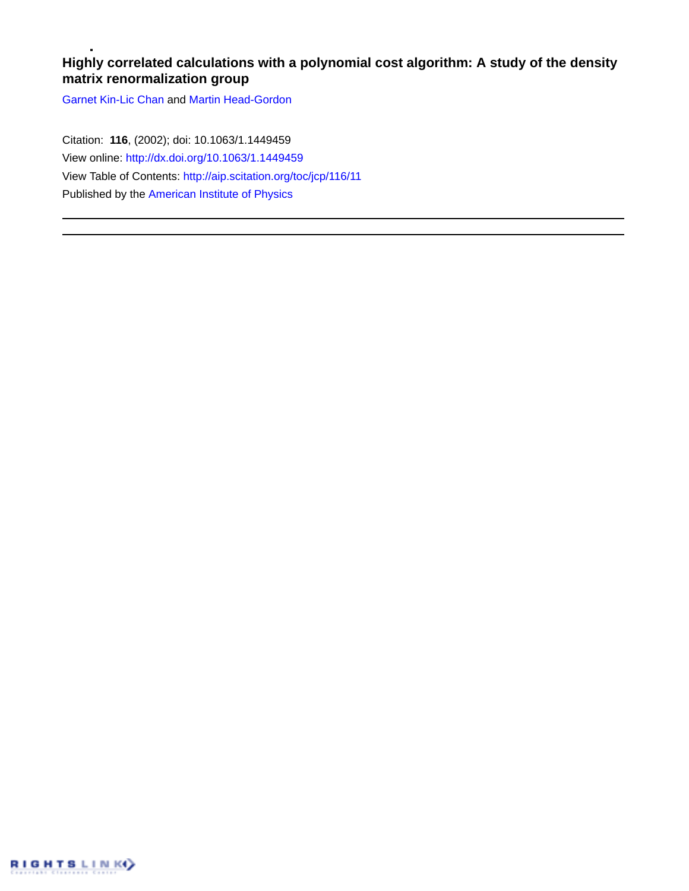# **Highly correlated calculations with a polynomial cost algorithm: A study of the density matrix renormalization group**

[Garnet Kin-Lic Chan](http://aip.scitation.org/author/Chan%2C+Garnet+Kin-Lic) and [Martin Head-Gordon](http://aip.scitation.org/author/Head-Gordon%2C+Martin)

Citation: **116**, (2002); doi: 10.1063/1.1449459 View online: <http://dx.doi.org/10.1063/1.1449459> View Table of Contents: <http://aip.scitation.org/toc/jcp/116/11> Published by the [American Institute of Physics](http://aip.scitation.org/publisher/)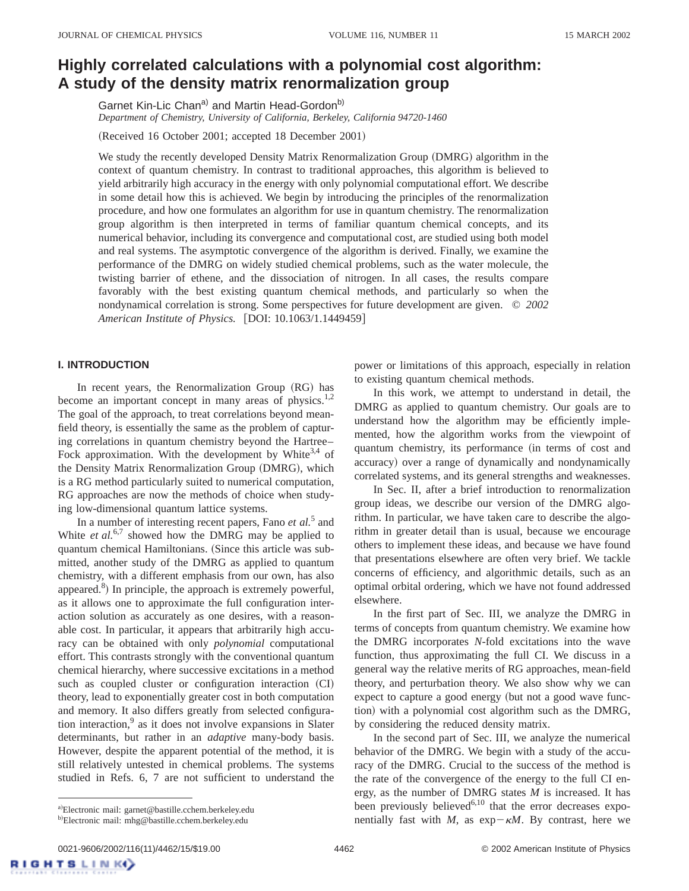# **Highly correlated calculations with a polynomial cost algorithm: A study of the density matrix renormalization group**

Garnet Kin-Lic Chan<sup>a)</sup> and Martin Head-Gordon<sup>b)</sup> *Department of Chemistry, University of California, Berkeley, California 94720-1460*

(Received 16 October 2001; accepted 18 December 2001)

We study the recently developed Density Matrix Renormalization Group (DMRG) algorithm in the context of quantum chemistry. In contrast to traditional approaches, this algorithm is believed to yield arbitrarily high accuracy in the energy with only polynomial computational effort. We describe in some detail how this is achieved. We begin by introducing the principles of the renormalization procedure, and how one formulates an algorithm for use in quantum chemistry. The renormalization group algorithm is then interpreted in terms of familiar quantum chemical concepts, and its numerical behavior, including its convergence and computational cost, are studied using both model and real systems. The asymptotic convergence of the algorithm is derived. Finally, we examine the performance of the DMRG on widely studied chemical problems, such as the water molecule, the twisting barrier of ethene, and the dissociation of nitrogen. In all cases, the results compare favorably with the best existing quantum chemical methods, and particularly so when the nondynamical correlation is strong. Some perspectives for future development are given. © *2002 American Institute of Physics.* [DOI: 10.1063/1.1449459]

# **I. INTRODUCTION**

In recent years, the Renormalization Group  $(RG)$  has become an important concept in many areas of physics.<sup>1,2</sup> The goal of the approach, to treat correlations beyond meanfield theory, is essentially the same as the problem of capturing correlations in quantum chemistry beyond the Hartree– Fock approximation. With the development by White<sup>3,4</sup> of the Density Matrix Renormalization Group (DMRG), which is a RG method particularly suited to numerical computation, RG approaches are now the methods of choice when studying low-dimensional quantum lattice systems.

In a number of interesting recent papers, Fano *et al.*<sup>5</sup> and White *et al.*<sup>6,7</sup> showed how the DMRG may be applied to quantum chemical Hamiltonians. (Since this article was submitted, another study of the DMRG as applied to quantum chemistry, with a different emphasis from our own, has also appeared. $8$ ) In principle, the approach is extremely powerful, as it allows one to approximate the full configuration interaction solution as accurately as one desires, with a reasonable cost. In particular, it appears that arbitrarily high accuracy can be obtained with only *polynomial* computational effort. This contrasts strongly with the conventional quantum chemical hierarchy, where successive excitations in a method such as coupled cluster or configuration interaction (CI) theory, lead to exponentially greater cost in both computation and memory. It also differs greatly from selected configuration interaction, $9$  as it does not involve expansions in Slater determinants, but rather in an *adaptive* many-body basis. However, despite the apparent potential of the method, it is still relatively untested in chemical problems. The systems studied in Refs. 6, 7 are not sufficient to understand the

power or limitations of this approach, especially in relation to existing quantum chemical methods.

In this work, we attempt to understand in detail, the DMRG as applied to quantum chemistry. Our goals are to understand how the algorithm may be efficiently implemented, how the algorithm works from the viewpoint of quantum chemistry, its performance (in terms of cost and accuracy) over a range of dynamically and nondynamically correlated systems, and its general strengths and weaknesses.

In Sec. II, after a brief introduction to renormalization group ideas, we describe our version of the DMRG algorithm. In particular, we have taken care to describe the algorithm in greater detail than is usual, because we encourage others to implement these ideas, and because we have found that presentations elsewhere are often very brief. We tackle concerns of efficiency, and algorithmic details, such as an optimal orbital ordering, which we have not found addressed elsewhere.

In the first part of Sec. III, we analyze the DMRG in terms of concepts from quantum chemistry. We examine how the DMRG incorporates *N*-fold excitations into the wave function, thus approximating the full CI. We discuss in a general way the relative merits of RG approaches, mean-field theory, and perturbation theory. We also show why we can expect to capture a good energy (but not a good wave function) with a polynomial cost algorithm such as the DMRG, by considering the reduced density matrix.

In the second part of Sec. III, we analyze the numerical behavior of the DMRG. We begin with a study of the accuracy of the DMRG. Crucial to the success of the method is the rate of the convergence of the energy to the full CI energy, as the number of DMRG states *M* is increased. It has been previously believed<sup>6,10</sup> that the error decreases exponentially fast with *M*, as  $exp-\kappa M$ . By contrast, here we

a)Electronic mail: garnet@bastille.cchem.berkeley.edu

<sup>&</sup>lt;sup>b)</sup>Electronic mail: mhg@bastille.cchem.berkeley.edu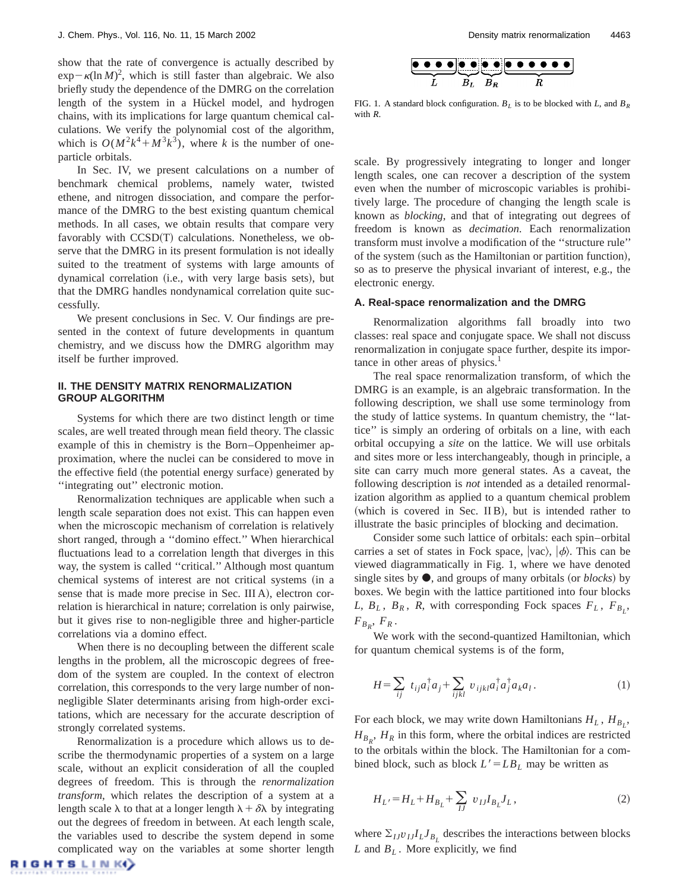show that the rate of convergence is actually described by  $\exp(-\kappa(\ln M)^2)$ , which is still faster than algebraic. We also briefly study the dependence of the DMRG on the correlation length of the system in a Hückel model, and hydrogen chains, with its implications for large quantum chemical calculations. We verify the polynomial cost of the algorithm, which is  $O(M^2k^4 + M^3k^3)$ , where *k* is the number of oneparticle orbitals.

In Sec. IV, we present calculations on a number of benchmark chemical problems, namely water, twisted ethene, and nitrogen dissociation, and compare the performance of the DMRG to the best existing quantum chemical methods. In all cases, we obtain results that compare very favorably with  $CCSD(T)$  calculations. Nonetheless, we observe that the DMRG in its present formulation is not ideally suited to the treatment of systems with large amounts of dynamical correlation (i.e., with very large basis sets), but that the DMRG handles nondynamical correlation quite successfully.

We present conclusions in Sec. V. Our findings are presented in the context of future developments in quantum chemistry, and we discuss how the DMRG algorithm may itself be further improved.

# **II. THE DENSITY MATRIX RENORMALIZATION GROUP ALGORITHM**

Systems for which there are two distinct length or time scales, are well treated through mean field theory. The classic example of this in chemistry is the Born–Oppenheimer approximation, where the nuclei can be considered to move in the effective field (the potential energy surface) generated by ''integrating out'' electronic motion.

Renormalization techniques are applicable when such a length scale separation does not exist. This can happen even when the microscopic mechanism of correlation is relatively short ranged, through a ''domino effect.'' When hierarchical fluctuations lead to a correlation length that diverges in this way, the system is called ''critical.'' Although most quantum chemical systems of interest are not critical systems (in a sense that is made more precise in Sec. III A), electron correlation is hierarchical in nature; correlation is only pairwise, but it gives rise to non-negligible three and higher-particle correlations via a domino effect.

When there is no decoupling between the different scale lengths in the problem, all the microscopic degrees of freedom of the system are coupled. In the context of electron correlation, this corresponds to the very large number of nonnegligible Slater determinants arising from high-order excitations, which are necessary for the accurate description of strongly correlated systems.

Renormalization is a procedure which allows us to describe the thermodynamic properties of a system on a large scale, without an explicit consideration of all the coupled degrees of freedom. This is through the *renormalization transform*, which relates the description of a system at a length scale  $\lambda$  to that at a longer length  $\lambda + \delta \lambda$  by integrating out the degrees of freedom in between. At each length scale, the variables used to describe the system depend in some complicated way on the variables at some shorter length

FIG. 1. A standard block configuration.  $B_L$  is to be blocked with *L*, and  $B_R$ with *R*.

scale. By progressively integrating to longer and longer length scales, one can recover a description of the system even when the number of microscopic variables is prohibitively large. The procedure of changing the length scale is known as *blocking*, and that of integrating out degrees of freedom is known as *decimation*. Each renormalization transform must involve a modification of the ''structure rule'' of the system (such as the Hamiltonian or partition function), so as to preserve the physical invariant of interest, e.g., the electronic energy.

# **A. Real-space renormalization and the DMRG**

Renormalization algorithms fall broadly into two classes: real space and conjugate space. We shall not discuss renormalization in conjugate space further, despite its importance in other areas of physics. $<sup>1</sup>$ </sup>

The real space renormalization transform, of which the DMRG is an example, is an algebraic transformation. In the following description, we shall use some terminology from the study of lattice systems. In quantum chemistry, the ''lattice'' is simply an ordering of orbitals on a line, with each orbital occupying a *site* on the lattice. We will use orbitals and sites more or less interchangeably, though in principle, a site can carry much more general states. As a caveat, the following description is *not* intended as a detailed renormalization algorithm as applied to a quantum chemical problem (which is covered in Sec. II B), but is intended rather to illustrate the basic principles of blocking and decimation.

Consider some such lattice of orbitals: each spin–orbital carries a set of states in Fock space,  $|vac\rangle$ ,  $|\phi\rangle$ . This can be viewed diagrammatically in Fig. 1, where we have denoted single sites by  $\bullet$ , and groups of many orbitals (or *blocks*) by boxes. We begin with the lattice partitioned into four blocks  $L, B_L, B_R, R$ , with corresponding Fock spaces  $F_L, F_{B_L}$ ,  $F_{B_R}$ ,  $F_R$ .

We work with the second-quantized Hamiltonian, which for quantum chemical systems is of the form,

$$
H = \sum_{ij} t_{ij} a_i^{\dagger} a_j + \sum_{ijkl} v_{ijkl} a_i^{\dagger} a_j^{\dagger} a_k a_l.
$$
 (1)

For each block, we may write down Hamiltonians  $H_L$ ,  $H_{B_L}$ ,  $H_{B_R}$ ,  $H_R$  in this form, where the orbital indices are restricted to the orbitals within the block. The Hamiltonian for a combined block, such as block  $L' = LB<sub>L</sub>$  may be written as

$$
H_{L'} = H_L + H_{B_L} + \sum_{IJ} v_{IJ} I_{B_L} J_L, \qquad (2)
$$

where  $\Sigma_{IJ}v_{IJ}I_LJ_{B_I}$  describes the interactions between blocks *L* and  $B_L$ . More explicitly, we find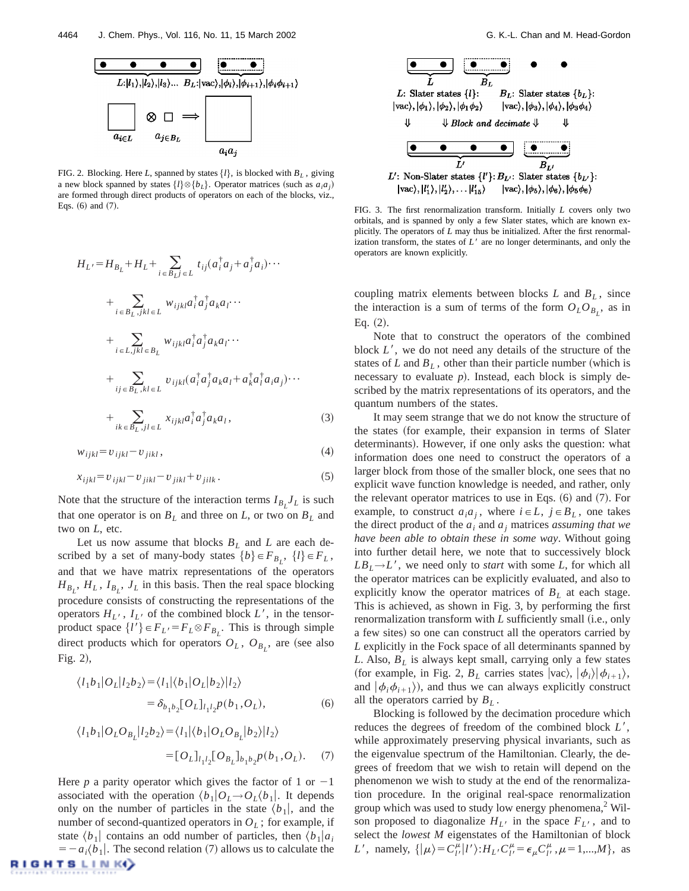

FIG. 2. Blocking. Here *L*, spanned by states  $\{l\}$ , is blocked with  $B_L$ , giving a new block spanned by states  $\{l\} \otimes \{b_L\}$ . Operator matrices (such as  $a_i a_j$ ) are formed through direct products of operators on each of the blocks, viz.,

$$
H_{L'} = H_{B_L} + H_L + \sum_{i \in B_L j \in L} t_{ij} (a_i^{\dagger} a_j + a_j^{\dagger} a_i) \cdots
$$
  
+ 
$$
\sum_{i \in B_L, jkl \in L} w_{ijkl} a_i^{\dagger} a_j^{\dagger} a_k a_l \cdots
$$
  
+ 
$$
\sum_{i \in L, jkl \in B_L} w_{ijkl} a_i^{\dagger} a_j^{\dagger} a_k a_l \cdots
$$
  
+ 
$$
\sum_{ij \in B_L, kl \in L} v_{ijkl} (a_i^{\dagger} a_j^{\dagger} a_k a_l + a_k^{\dagger} a_i^{\dagger} a_i a_j) \cdots
$$
  
+ 
$$
\sum_{ik \in B_L, jl \in L} x_{ijkl} a_i^{\dagger} a_j^{\dagger} a_k a_l,
$$
 (3)

$$
w_{ijkl} = v_{ijkl} - v_{jikl},\tag{4}
$$

$$
x_{ijkl} = v_{ijkl} - v_{jikl} - v_{jikl} + v_{jilk} \tag{5}
$$

Note that the structure of the interaction terms  $I_{B_L}J_L$  is such that one operator is on  $B_L$  and three on  $L$ , or two on  $B_L$  and two on *L*, etc.

Let us now assume that blocks  $B_L$  and  $L$  are each described by a set of many-body states  ${b} \in F_{B_L}$ ,  ${l} \in F_L$ , and that we have matrix representations of the operators  $H_{B_L}$ ,  $H_L$ ,  $I_{B_L}$ ,  $J_L$  in this basis. Then the real space blocking procedure consists of constructing the representations of the operators  $H_{L}$ ,  $I_{L}$  of the combined block  $L'$ , in the tensorproduct space  $\{l'\}\in F_L = F_L \otimes F_{B_L}$ . This is through simple direct products which for operators  $O_L$ ,  $O_{B_L}$ , are (see also Fig.  $2$ ),

$$
\langle l_1 b_1 | O_L | l_2 b_2 \rangle = \langle l_1 | \langle b_1 | O_L | b_2 \rangle | l_2 \rangle
$$
  
=  $\delta_{b_1 b_2} [O_L]_{l_1 l_2} p(b_1, O_L),$  (6)

$$
\langle l_1 b_1 | O_L O_{B_L} | l_2 b_2 \rangle = \langle l_1 | \langle b_1 | O_L O_{B_L} | b_2 \rangle | l_2 \rangle
$$
  
= 
$$
[O_L]_{l_1 l_2} [O_{B_L}]_{b_1 b_2} p(b_1, O_L).
$$
 (7)

Here *p* a parity operator which gives the factor of 1 or  $-1$ associated with the operation  $\langle b_1|O_L\rightarrow O_L^{\prime}$ . It depends only on the number of particles in the state  $\langle b_1 |$ , and the number of second-quantized operators in  $O<sub>L</sub>$ ; for example, if state  $\langle b_1 \rangle$  contains an odd number of particles, then  $\langle b_1 | a_i \rangle$  $= -a_i \langle b_1 |$ . The second relation (7) allows us to calculate the **NIGHTSLINK** 



Eqs. (6) and (7). FIG. 3. The first renormalization transform. Initially *L* covers only two orbitals, and is spanned by only a few Slater states, which are known explicitly. The operators of *L* may thus be initialized. After the first renormalization transform, the states of  $L<sup>3</sup>$  are no longer determinants, and only the operators are known explicitly.

coupling matrix elements between blocks  $L$  and  $B_L$ , since the interaction is a sum of terms of the form  $O<sub>L</sub>O<sub>B<sub>L</sub></sub>$ , as in Eq.  $(2)$ .

Note that to construct the operators of the combined block  $L'$ , we do not need any details of the structure of the states of  $L$  and  $B_L$ , other than their particle number (which is necessary to evaluate  $p$ ). Instead, each block is simply described by the matrix representations of its operators, and the quantum numbers of the states.

It may seem strange that we do not know the structure of the states (for example, their expansion in terms of Slater determinants). However, if one only asks the question: what information does one need to construct the operators of a larger block from those of the smaller block, one sees that no explicit wave function knowledge is needed, and rather, only the relevant operator matrices to use in Eqs.  $(6)$  and  $(7)$ . For example, to construct  $a_i a_j$ , where  $i \in L$ ,  $j \in B_L$ , one takes the direct product of the  $a_i$  and  $a_j$  matrices *assuming that we have been able to obtain these in some way*. Without going into further detail here, we note that to successively block  $LB<sub>L</sub>\rightarrow L'$ , we need only to *start* with some *L*, for which all the operator matrices can be explicitly evaluated, and also to explicitly know the operator matrices of  $B_L$  at each stage. This is achieved, as shown in Fig. 3, by performing the first renormalization transform with *L* sufficiently small (i.e., only a few sites) so one can construct all the operators carried by *L* explicitly in the Fock space of all determinants spanned by *L*. Also, *BL* is always kept small, carrying only a few states (for example, in Fig. 2,  $B_L$  carries states  $|{\rm vac}\rangle$ ,  $|\phi_i\rangle|\phi_{i+1}\rangle$ , and  $|\phi_i \phi_{i+1}\rangle$ , and thus we can always explicitly construct all the operators carried by  $B_L$ .

Blocking is followed by the decimation procedure which reduces the degrees of freedom of the combined block L', while approximately preserving physical invariants, such as the eigenvalue spectrum of the Hamiltonian. Clearly, the degrees of freedom that we wish to retain will depend on the phenomenon we wish to study at the end of the renormalization procedure. In the original real-space renormalization group which was used to study low energy phenomena, $2$  Wilson proposed to diagonalize  $H_L$ <sup>t</sup> in the space  $F_L$ <sup>t</sup>, and to select the *lowest M* eigenstates of the Hamiltonian of block *L'*, namely,  $\{ | \mu \rangle = C_{l'}^{\mu} | l' \rangle : H_L C_{l'}^{\mu} = \epsilon_{\mu} C_{l'}^{\mu}, \mu = 1, ..., M \},$  as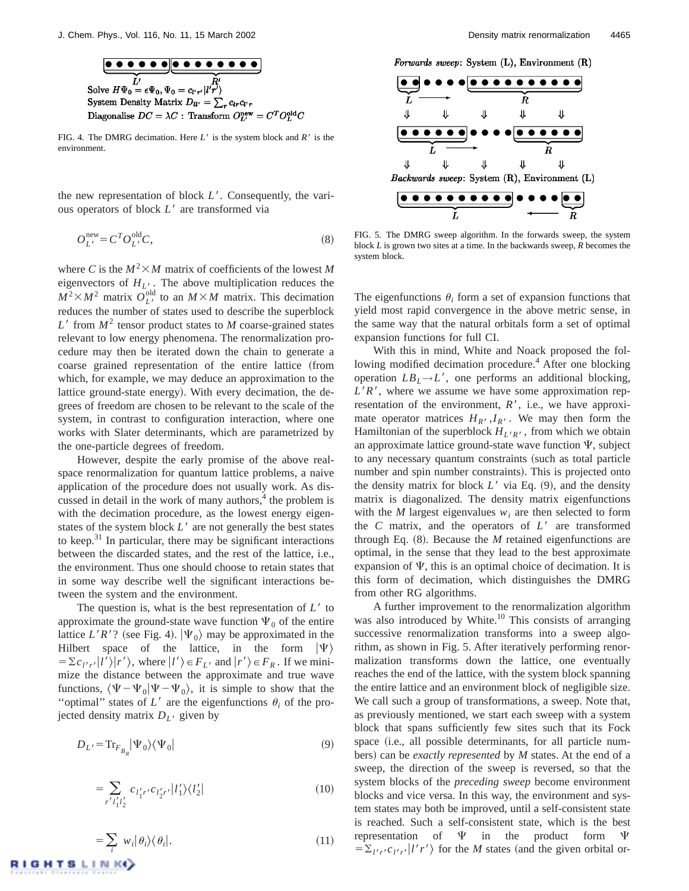

FIG. 4. The DMRG decimation. Here  $L'$  is the system block and  $R'$  is the environment.

the new representation of block L'. Consequently, the various operators of block L' are transformed via

$$
O_L^{\text{new}} = C^T O_L^{\text{old}} C,\tag{8}
$$

where *C* is the  $M^2 \times M$  matrix of coefficients of the lowest *M* eigenvectors of  $H_{L}$ <sup>1</sup>. The above multiplication reduces the  $M^2 \times M^2$  matrix  $O_L^{\text{old}}$  to an  $M \times M$  matrix. This decimation reduces the number of states used to describe the superblock  $L^{\prime}$  from  $M^2$  tensor product states to *M* coarse-grained states relevant to low energy phenomena. The renormalization procedure may then be iterated down the chain to generate a coarse grained representation of the entire lattice (from which, for example, we may deduce an approximation to the lattice ground-state energy). With every decimation, the degrees of freedom are chosen to be relevant to the scale of the system, in contrast to configuration interaction, where one works with Slater determinants, which are parametrized by the one-particle degrees of freedom.

However, despite the early promise of the above realspace renormalization for quantum lattice problems, a naive application of the procedure does not usually work. As discussed in detail in the work of many authors, $4$  the problem is with the decimation procedure, as the lowest energy eigenstates of the system block  $L<sup>'</sup>$  are not generally the best states to keep. $31$  In particular, there may be significant interactions between the discarded states, and the rest of the lattice, i.e., the environment. Thus one should choose to retain states that in some way describe well the significant interactions between the system and the environment.

The question is, what is the best representation of  $L<sup>1</sup>$  to approximate the ground-state wave function  $\Psi_0$  of the entire lattice *L'R'*? (see Fig. 4).  $|\Psi_0\rangle$  may be approximated in the Hilbert space of the lattice, in the form  $|\Psi\rangle$  $= \sum c_{l'r'} |l'\rangle |r'\rangle$ , where  $|l'\rangle \in F_{L'}$  and  $|r'\rangle \in F_R$ . If we minimize the distance between the approximate and true wave functions,  $\langle \Psi - \Psi_0 | \Psi - \Psi_0 \rangle$ , it is simple to show that the "optimal" states of  $L'$  are the eigenfunctions  $\theta_i$  of the projected density matrix  $D_{L}$  given by

$$
D_{L'} = \text{Tr}_{F_{B_R}} |\Psi_0\rangle\langle\Psi_0| \tag{9}
$$

$$
=\sum_{r'l_1'l_2'}c_{l_1'r'}c_{l_2'r'}|l_1'\rangle\langle l_2'|
$$
\n(10)

Forwards sweep: System (L), Environment (R)



FIG. 5. The DMRG sweep algorithm. In the forwards sweep, the system block *L* is grown two sites at a time. In the backwards sweep, *R* becomes the system block.

The eigenfunctions  $\theta_i$  form a set of expansion functions that yield most rapid convergence in the above metric sense, in the same way that the natural orbitals form a set of optimal expansion functions for full CI.

With this in mind, White and Noack proposed the following modified decimation procedure.<sup>4</sup> After one blocking operation  $LB_L \rightarrow L'$ , one performs an additional blocking,  $L'R'$ , where we assume we have some approximation representation of the environment,  $R'$ , i.e., we have approximate operator matrices  $H_{R}$ ,  $I_{R}$ . We may then form the Hamiltonian of the superblock  $H_{L'R'}$ , from which we obtain an approximate lattice ground-state wave function  $\Psi$ , subject to any necessary quantum constraints (such as total particle number and spin number constraints). This is projected onto the density matrix for block  $L'$  via Eq.  $(9)$ , and the density matrix is diagonalized. The density matrix eigenfunctions with the *M* largest eigenvalues  $w_i$  are then selected to form the  $C$  matrix, and the operators of  $L'$  are transformed through Eq.  $(8)$ . Because the *M* retained eigenfunctions are optimal, in the sense that they lead to the best approximate expansion of  $\Psi$ , this is an optimal choice of decimation. It is this form of decimation, which distinguishes the DMRG from other RG algorithms.

A further improvement to the renormalization algorithm was also introduced by White. $^{10}$  This consists of arranging successive renormalization transforms into a sweep algorithm, as shown in Fig. 5. After iteratively performing renormalization transforms down the lattice, one eventually reaches the end of the lattice, with the system block spanning the entire lattice and an environment block of negligible size. We call such a group of transformations, a sweep. Note that, as previously mentioned, we start each sweep with a system block that spans sufficiently few sites such that its Fock space (i.e., all possible determinants, for all particle numbers) can be *exactly represented* by *M* states. At the end of a sweep, the direction of the sweep is reversed, so that the system blocks of the *preceding sweep* become environment blocks and vice versa. In this way, the environment and system states may both be improved, until a self-consistent state is reached. Such a self-consistent state, which is the best representation of  $\Psi$  in the product form  $\Psi$  $= \sum_{l'r'} c_{l'r'} |l'r'\rangle$  for the *M* states (and the given orbital or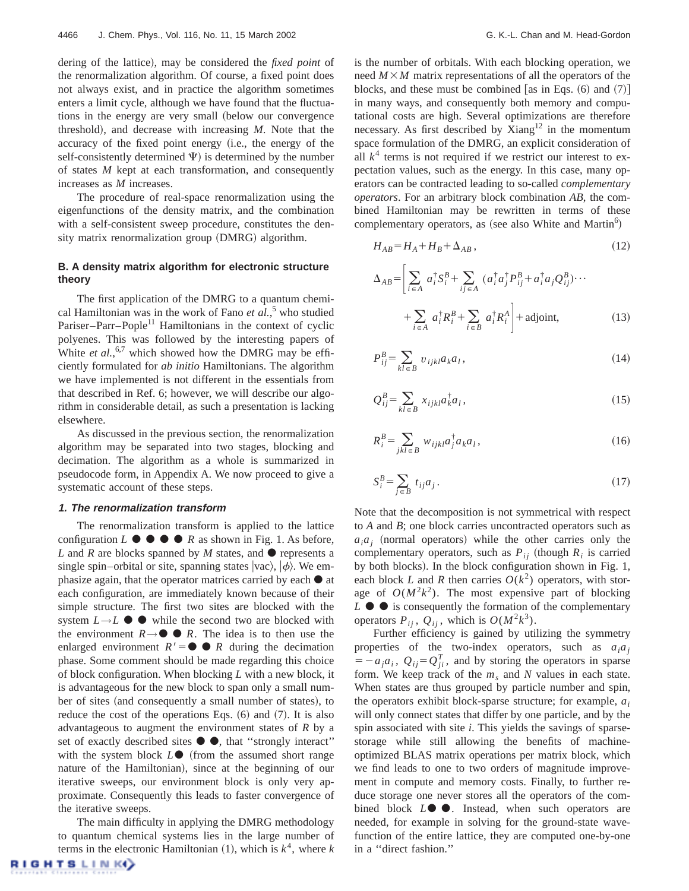dering of the lattice), may be considered the *fixed point* of the renormalization algorithm. Of course, a fixed point does not always exist, and in practice the algorithm sometimes enters a limit cycle, although we have found that the fluctuations in the energy are very small (below our convergence threshold), and decrease with increasing  $M$ . Note that the accuracy of the fixed point energy (i.e., the energy of the self-consistently determined  $\Psi$ ) is determined by the number of states *M* kept at each transformation, and consequently increases as *M* increases.

The procedure of real-space renormalization using the eigenfunctions of the density matrix, and the combination with a self-consistent sweep procedure, constitutes the density matrix renormalization group (DMRG) algorithm.

# **B. A density matrix algorithm for electronic structure theory**

The first application of the DMRG to a quantum chemical Hamiltonian was in the work of Fano *et al.*, <sup>5</sup> who studied Pariser–Parr–Pople<sup>11</sup> Hamiltonians in the context of cyclic polyenes. This was followed by the interesting papers of White *et al.*,<sup>6,7</sup> which showed how the DMRG may be efficiently formulated for *ab initio* Hamiltonians. The algorithm we have implemented is not different in the essentials from that described in Ref. 6; however, we will describe our algorithm in considerable detail, as such a presentation is lacking elsewhere.

As discussed in the previous section, the renormalization algorithm may be separated into two stages, blocking and decimation. The algorithm as a whole is summarized in pseudocode form, in Appendix A. We now proceed to give a systematic account of these steps.

# **1. The renormalization transform**

The renormalization transform is applied to the lattice configuration  $L \bullet \bullet \bullet \bullet \bullet R$  as shown in Fig. 1. As before, *L* and *R* are blocks spanned by *M* states, and  $\bullet$  represents a single spin–orbital or site, spanning states  $|vac\rangle$ ,  $|\phi\rangle$ . We emphasize again, that the operator matrices carried by each  $\bullet$  at each configuration, are immediately known because of their simple structure. The first two sites are blocked with the system  $L \rightarrow L$   $\bullet$  while the second two are blocked with the environment  $R \rightarrow \bullet \bullet R$ . The idea is to then use the enlarged environment  $R' = \bullet \bullet R$  during the decimation phase. Some comment should be made regarding this choice of block configuration. When blocking *L* with a new block, it is advantageous for the new block to span only a small number of sites (and consequently a small number of states), to reduce the cost of the operations Eqs.  $(6)$  and  $(7)$ . It is also advantageous to augment the environment states of *R* by a set of exactly described sites  $\bullet$   $\bullet$ , that "strongly interact" with the system block  $L\bullet$  (from the assumed short range nature of the Hamiltonian), since at the beginning of our iterative sweeps, our environment block is only very approximate. Consequently this leads to faster convergence of the iterative sweeps.

The main difficulty in applying the DMRG methodology to quantum chemical systems lies in the large number of terms in the electronic Hamiltonian  $(1)$ , which is  $k^4$ , where *k*  is the number of orbitals. With each blocking operation, we need  $M \times M$  matrix representations of all the operators of the blocks, and these must be combined [as in Eqs.  $(6)$  and  $(7)$ ] in many ways, and consequently both memory and computational costs are high. Several optimizations are therefore necessary. As first described by Xiang $12$  in the momentum space formulation of the DMRG, an explicit consideration of all  $k^4$  terms is not required if we restrict our interest to expectation values, such as the energy. In this case, many operators can be contracted leading to so-called *complementary operators*. For an arbitrary block combination *AB*, the combined Hamiltonian may be rewritten in terms of these complementary operators, as (see also White and Martin<sup>6</sup>)

$$
H_{AB} = H_A + H_B + \Delta_{AB},\tag{12}
$$

$$
\Delta_{AB} = \left[ \sum_{i \in A} a_i^{\dagger} S_i^B + \sum_{ij \in A} (a_i^{\dagger} a_j^{\dagger} P_{ij}^B + a_i^{\dagger} a_j Q_{ij}^B) \cdots + \sum_{i \in A} a_i^{\dagger} R_i^B + \sum_{i \in B} a_i^{\dagger} R_i^A \right] + \text{adjoint}, \tag{13}
$$

$$
P_{ij}^B = \sum_{kl \in B} v_{ijkl} a_k a_l, \qquad (14)
$$

$$
Q_{ij}^B = \sum_{kl \in B} x_{ijkl} a_k^{\dagger} a_l,
$$
\n(15)

$$
R_i^B = \sum_{jkl \in B} w_{ijkl} a_j^\dagger a_k a_l, \qquad (16)
$$

$$
S_i^B = \sum_{j \in B} t_{ij} a_j. \tag{17}
$$

Note that the decomposition is not symmetrical with respect to *A* and *B*; one block carries uncontracted operators such as  $a_i a_j$  (normal operators) while the other carries only the complementary operators, such as  $P_{ij}$  (though  $R_i$  is carried by both blocks). In the block configuration shown in Fig. 1, each block *L* and *R* then carries  $O(k^2)$  operators, with storage of  $O(M^2k^2)$ . The most expensive part of blocking  $L \bullet \bullet$  is consequently the formation of the complementary operators  $P_{ij}$ ,  $Q_{ij}$ , which is  $O(M^2k^3)$ .

Further efficiency is gained by utilizing the symmetry properties of the two-index operators, such as  $a_i a_j$  $\vec{v} = -a_j a_i$ ,  $Q_{ij} = Q_{ji}^T$ , and by storing the operators in sparse form. We keep track of the  $m<sub>s</sub>$  and  $N$  values in each state. When states are thus grouped by particle number and spin, the operators exhibit block-sparse structure; for example, *ai* will only connect states that differ by one particle, and by the spin associated with site *i*. This yields the savings of sparsestorage while still allowing the benefits of machineoptimized BLAS matrix operations per matrix block, which we find leads to one to two orders of magnitude improvement in compute and memory costs. Finally, to further reduce storage one never stores all the operators of the combined block  $L \bullet \bullet$ . Instead, when such operators are needed, for example in solving for the ground-state wavefunction of the entire lattice, they are computed one-by-one in a ''direct fashion.''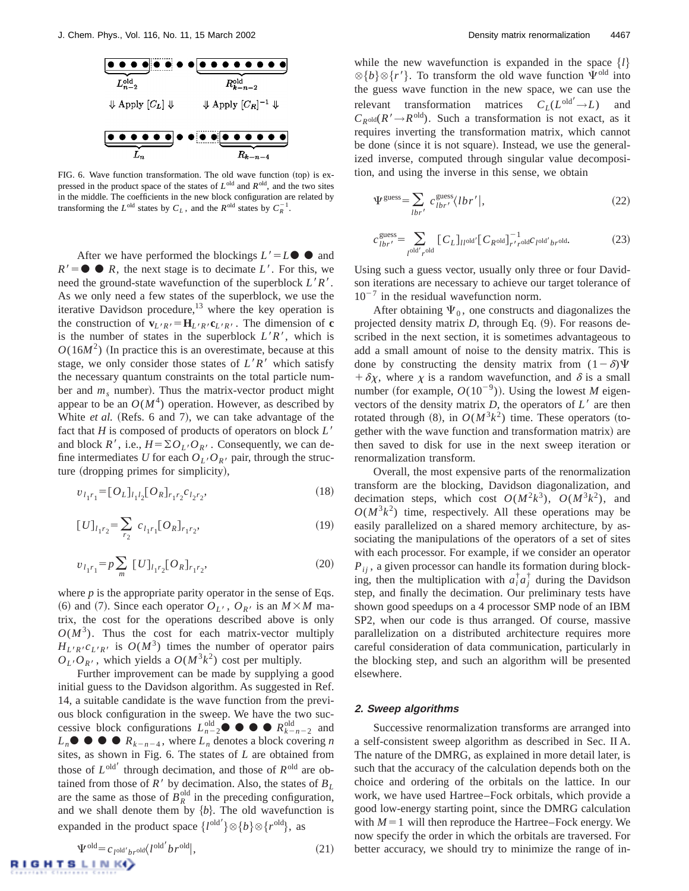

FIG. 6. Wave function transformation. The old wave function  $({\rm top})$  is expressed in the product space of the states of *L*old and *R*old, and the two sites in the middle. The coefficients in the new block configuration are related by transforming the  $L^{\text{old}}$  states by  $C_L$ , and the  $R^{\text{old}}$  states by  $C_R^{-1}$ .

After we have performed the blockings  $L' = L \bullet \bullet$  and  $R' = \bullet \bullet R$ , the next stage is to decimate *L'*. For this, we need the ground-state wavefunction of the superblock  $L'R'$ . As we only need a few states of the superblock, we use the iterative Davidson procedure, $^{13}$  where the key operation is the construction of  $\mathbf{v}_{L'R'} = \mathbf{H}_{L'R'} \mathbf{c}_{L'R'}$ . The dimension of **c** is the number of states in the superblock  $L'R'$ , which is  $O(16M^2)$  (In practice this is an overestimate, because at this stage, we only consider those states of  $L'R'$  which satisfy the necessary quantum constraints on the total particle number and  $m_s$  number). Thus the matrix-vector product might appear to be an  $O(M^4)$  operation. However, as described by White *et al.* (Refs. 6 and 7), we can take advantage of the fact that *H* is composed of products of operators on block *L'* and block  $R'$ , i.e.,  $H = \sum O_{L'} O_{R'}$ . Consequently, we can define intermediates *U* for each  $O_L/O_{R'}$  pair, through the structure (dropping primes for simplicity),

$$
v_{l_1r_1} = [O_L]_{l_1l_2} [O_R]_{r_1r_2} c_{l_2r_2},
$$
\n(18)

$$
[U]_{l_1r_2} = \sum_{r_2} c_{l_1r_1} [O_R]_{r_1r_2}, \qquad (19)
$$

$$
v_{l_1r_1} = p \sum_{m} [U]_{l_1r_2} [O_R]_{r_1r_2}, \qquad (20)
$$

where  $p$  is the appropriate parity operator in the sense of Eqs. (6) and (7). Since each operator  $O_{L}$ ,  $O_{R}$  is an  $M \times M$  matrix, the cost for the operations described above is only  $O(M^3)$ . Thus the cost for each matrix-vector multiply  $H_{L'R'}c_{L'R'}$  is  $O(M^3)$  times the number of operator pairs  $O_L$ , *O<sub>R'</sub>*, which yields a  $O(M^3k^2)$  cost per multiply.

Further improvement can be made by supplying a good initial guess to the Davidson algorithm. As suggested in Ref. 14, a suitable candidate is the wave function from the previous block configuration in the sweep. We have the two successive block configurations  $L_{n-2}^{\text{old}} \bullet \bullet \bullet R_{k-n-2}^{\text{old}}$  and  $L_n$   $\bullet$   $\bullet$   $\bullet$   $R_{k-n-4}$ , where  $L_n$  denotes a block covering *n* sites, as shown in Fig. 6. The states of *L* are obtained from those of  $L^{old'}$  through decimation, and those of  $R^{old}$  are obtained from those of  $R'$  by decimation. Also, the states of  $B_L$ are the same as those of  $B_R^{\text{old}}$  in the preceding configuration, and we shall denote them by  ${b}$ . The old wavefunction is expanded in the product space  $\{l^{\text{old}'}\}\otimes \{b\}\otimes \{r^{\text{old}}\},\$ as

while the new wavefunction is expanded in the space  $\{l\}$  $\otimes \{b\} \otimes \{r'\}.$  To transform the old wave function  $\Psi^{\text{old}}$  into the guess wave function in the new space, we can use the relevant transformation matrices  $C_L(L^{\text{old}}' \rightarrow L)$  and  $C_{R^{old}}(R' \rightarrow R^{old})$ . Such a transformation is not exact, as it requires inverting the transformation matrix, which cannot be done (since it is not square). Instead, we use the generalized inverse, computed through singular value decomposition, and using the inverse in this sense, we obtain

$$
\Psi^{\text{guess}} = \sum_{lbr'} c^{\text{guess}}_{lbr'} \langle lbr' |,
$$
\n(22)

$$
c_{lbr'}^{\text{guess}} = \sum_{l^{\text{old}'} r^{\text{old}}} \left[ C_L \right]_{l^{\text{old}}} \left[ C_{R^{\text{old}}} \right]_{r' r^{\text{old}}}^{-1} C_{l^{\text{old}'} br^{\text{old}}}.
$$
 (23)

Using such a guess vector, usually only three or four Davidson iterations are necessary to achieve our target tolerance of  $10^{-7}$  in the residual wavefunction norm.

After obtaining  $\Psi_0$ , one constructs and diagonalizes the projected density matrix  $D$ , through Eq.  $(9)$ . For reasons described in the next section, it is sometimes advantageous to add a small amount of noise to the density matrix. This is done by constructing the density matrix from  $(1-\delta)\Psi$ +  $\delta \chi$ , where  $\chi$  is a random wavefunction, and  $\delta$  is a small number (for example,  $O(10^{-9})$ ). Using the lowest *M* eigenvectors of the density matrix  $D$ , the operators of  $L'$  are then rotated through  $(8)$ , in  $O(M^3k^2)$  time. These operators (together with the wave function and transformation matrix) are then saved to disk for use in the next sweep iteration or renormalization transform.

Overall, the most expensive parts of the renormalization transform are the blocking, Davidson diagonalization, and decimation steps, which cost  $O(M^2k^3)$ ,  $O(M^3k^2)$ , and  $O(M^3k^2)$  time, respectively. All these operations may be easily parallelized on a shared memory architecture, by associating the manipulations of the operators of a set of sites with each processor. For example, if we consider an operator  $P_{ii}$ , a given processor can handle its formation during blocking, then the multiplication with  $a_i^{\dagger} a_j^{\dagger}$  during the Davidson step, and finally the decimation. Our preliminary tests have shown good speedups on a 4 processor SMP node of an IBM SP2, when our code is thus arranged. Of course, massive parallelization on a distributed architecture requires more careful consideration of data communication, particularly in the blocking step, and such an algorithm will be presented elsewhere.

#### **2. Sweep algorithms**

Successive renormalization transforms are arranged into a self-consistent sweep algorithm as described in Sec. II A. The nature of the DMRG, as explained in more detail later, is such that the accuracy of the calculation depends both on the choice and ordering of the orbitals on the lattice. In our work, we have used Hartree–Fock orbitals, which provide a good low-energy starting point, since the DMRG calculation with  $M=1$  will then reproduce the Hartree–Fock energy. We now specify the order in which the orbitals are traversed. For better accuracy, we should try to minimize the range of in-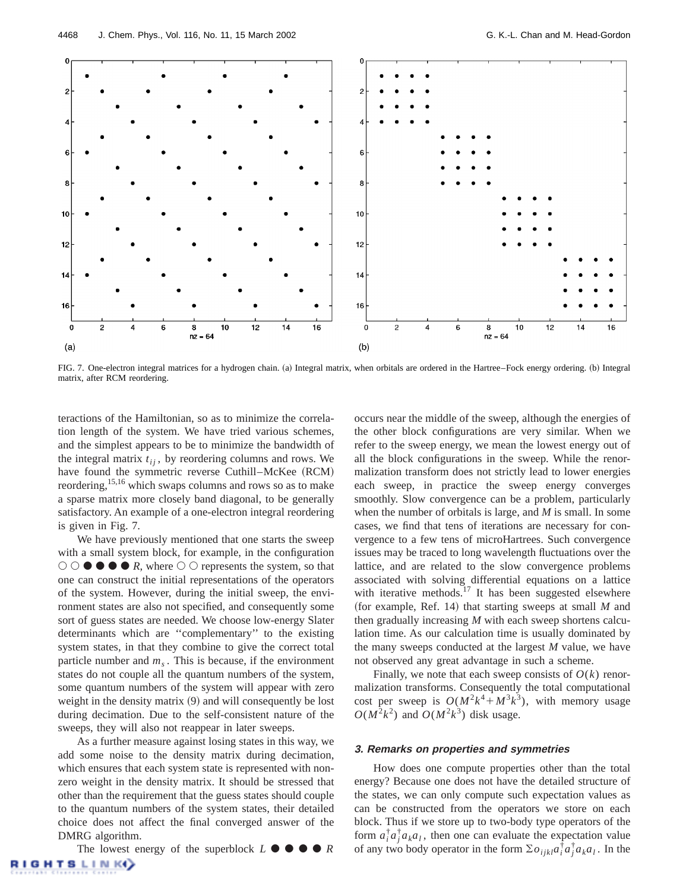

FIG. 7. One-electron integral matrices for a hydrogen chain. (a) Integral matrix, when orbitals are ordered in the Hartree–Fock energy ordering. (b) Integral matrix, after RCM reordering.

teractions of the Hamiltonian, so as to minimize the correlation length of the system. We have tried various schemes, and the simplest appears to be to minimize the bandwidth of the integral matrix  $t_{ij}$ , by reordering columns and rows. We have found the symmetric reverse Cuthill–McKee (RCM) reordering,  $15,16$  which swaps columns and rows so as to make a sparse matrix more closely band diagonal, to be generally satisfactory. An example of a one-electron integral reordering is given in Fig. 7.

We have previously mentioned that one starts the sweep with a small system block, for example, in the configuration  $\circ$   $\circ$   $\bullet$   $\bullet$   $\bullet$   $\bullet$  *R*, where  $\circ$   $\circ$  represents the system, so that one can construct the initial representations of the operators of the system. However, during the initial sweep, the environment states are also not specified, and consequently some sort of guess states are needed. We choose low-energy Slater determinants which are ''complementary'' to the existing system states, in that they combine to give the correct total particle number and  $m<sub>s</sub>$ . This is because, if the environment states do not couple all the quantum numbers of the system, some quantum numbers of the system will appear with zero weight in the density matrix  $(9)$  and will consequently be lost during decimation. Due to the self-consistent nature of the sweeps, they will also not reappear in later sweeps.

As a further measure against losing states in this way, we add some noise to the density matrix during decimation, which ensures that each system state is represented with nonzero weight in the density matrix. It should be stressed that other than the requirement that the guess states should couple to the quantum numbers of the system states, their detailed choice does not affect the final converged answer of the DMRG algorithm.

The lowest energy of the superblock  $L \bullet \bullet \bullet \bullet R$ **GHTSLINK** 

occurs near the middle of the sweep, although the energies of the other block configurations are very similar. When we refer to the sweep energy, we mean the lowest energy out of all the block configurations in the sweep. While the renormalization transform does not strictly lead to lower energies each sweep, in practice the sweep energy converges smoothly. Slow convergence can be a problem, particularly when the number of orbitals is large, and *M* is small. In some cases, we find that tens of iterations are necessary for convergence to a few tens of microHartrees. Such convergence issues may be traced to long wavelength fluctuations over the lattice, and are related to the slow convergence problems associated with solving differential equations on a lattice with iterative methods. $17$  It has been suggested elsewhere (for example, Ref. 14) that starting sweeps at small *M* and then gradually increasing *M* with each sweep shortens calculation time. As our calculation time is usually dominated by the many sweeps conducted at the largest *M* value, we have not observed any great advantage in such a scheme.

Finally, we note that each sweep consists of  $O(k)$  renormalization transforms. Consequently the total computational cost per sweep is  $O(M^2k^4 + M^3k^3)$ , with memory usage  $O(M^2k^2)$  and  $O(M^2k^3)$  disk usage.

# **3. Remarks on properties and symmetries**

How does one compute properties other than the total energy? Because one does not have the detailed structure of the states, we can only compute such expectation values as can be constructed from the operators we store on each block. Thus if we store up to two-body type operators of the form  $a_i^{\dagger} a_j^{\dagger} a_k a_l$ , then one can evaluate the expectation value of any two body operator in the form  $\sum o_{ijkl} a_i^{\dagger} a_j^{\dagger} a_k a_l$ . In the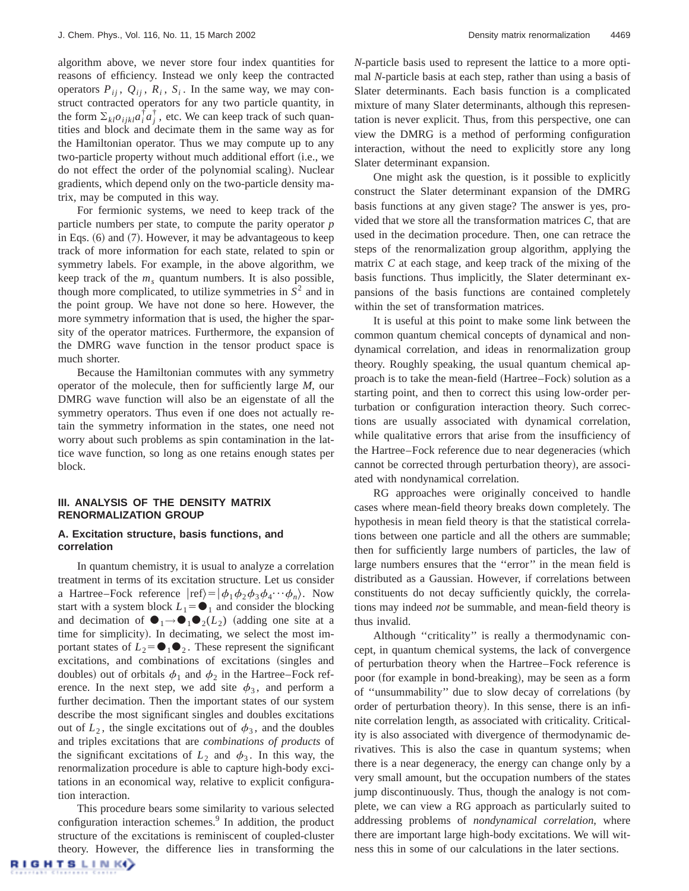algorithm above, we never store four index quantities for reasons of efficiency. Instead we only keep the contracted operators  $P_{ij}$ ,  $Q_{ij}$ ,  $R_i$ ,  $S_i$ . In the same way, we may construct contracted operators for any two particle quantity, in the form  $\Sigma_{kl}o_{ijkl}a_i^{\dagger}a_j^{\dagger}$ , etc. We can keep track of such quantities and block and decimate them in the same way as for the Hamiltonian operator. Thus we may compute up to any two-particle property without much additional effort (i.e., we do not effect the order of the polynomial scaling). Nuclear gradients, which depend only on the two-particle density matrix, may be computed in this way.

For fermionic systems, we need to keep track of the particle numbers per state, to compute the parity operator *p* in Eqs.  $(6)$  and  $(7)$ . However, it may be advantageous to keep track of more information for each state, related to spin or symmetry labels. For example, in the above algorithm, we keep track of the  $m<sub>s</sub>$  quantum numbers. It is also possible, though more complicated, to utilize symmetries in  $S<sup>2</sup>$  and in the point group. We have not done so here. However, the more symmetry information that is used, the higher the sparsity of the operator matrices. Furthermore, the expansion of the DMRG wave function in the tensor product space is much shorter.

Because the Hamiltonian commutes with any symmetry operator of the molecule, then for sufficiently large *M*, our DMRG wave function will also be an eigenstate of all the symmetry operators. Thus even if one does not actually retain the symmetry information in the states, one need not worry about such problems as spin contamination in the lattice wave function, so long as one retains enough states per block.

# **III. ANALYSIS OF THE DENSITY MATRIX RENORMALIZATION GROUP**

# **A. Excitation structure, basis functions, and correlation**

In quantum chemistry, it is usual to analyze a correlation treatment in terms of its excitation structure. Let us consider a Hartree–Fock reference  $|\text{ref}\rangle = |\phi_1 \phi_2 \phi_3 \phi_4 \cdots \phi_n\rangle$ . Now start with a system block  $L_1 = \bullet_1$  and consider the blocking and decimation of  $\bigcirc_{1} \rightarrow \bigcirc_{1} \bigcirc_{2}(L_{2})$  (adding one site at a time for simplicity). In decimating, we select the most important states of  $L_2 = \bigcirc$ <sub>1</sub> $\bigcirc$ <sub>2</sub>. These represent the significant excitations, and combinations of excitations (singles and doubles) out of orbitals  $\phi_1$  and  $\phi_2$  in the Hartree–Fock reference. In the next step, we add site  $\phi_3$ , and perform a further decimation. Then the important states of our system describe the most significant singles and doubles excitations out of  $L_2$ , the single excitations out of  $\phi_3$ , and the doubles and triples excitations that are *combinations of products* of the significant excitations of  $L_2$  and  $\phi_3$ . In this way, the renormalization procedure is able to capture high-body excitations in an economical way, relative to explicit configuration interaction.

This procedure bears some similarity to various selected configuration interaction schemes.<sup>9</sup> In addition, the product structure of the excitations is reminiscent of coupled-cluster theory. However, the difference lies in transforming the *N*-particle basis used to represent the lattice to a more optimal *N*-particle basis at each step, rather than using a basis of Slater determinants. Each basis function is a complicated mixture of many Slater determinants, although this representation is never explicit. Thus, from this perspective, one can view the DMRG is a method of performing configuration interaction, without the need to explicitly store any long Slater determinant expansion.

One might ask the question, is it possible to explicitly construct the Slater determinant expansion of the DMRG basis functions at any given stage? The answer is yes, provided that we store all the transformation matrices *C*, that are used in the decimation procedure. Then, one can retrace the steps of the renormalization group algorithm, applying the matrix *C* at each stage, and keep track of the mixing of the basis functions. Thus implicitly, the Slater determinant expansions of the basis functions are contained completely within the set of transformation matrices.

It is useful at this point to make some link between the common quantum chemical concepts of dynamical and nondynamical correlation, and ideas in renormalization group theory. Roughly speaking, the usual quantum chemical approach is to take the mean-field (Hartree–Fock) solution as a starting point, and then to correct this using low-order perturbation or configuration interaction theory. Such corrections are usually associated with dynamical correlation, while qualitative errors that arise from the insufficiency of the Hartree–Fock reference due to near degeneracies (which cannot be corrected through perturbation theory), are associated with nondynamical correlation.

RG approaches were originally conceived to handle cases where mean-field theory breaks down completely. The hypothesis in mean field theory is that the statistical correlations between one particle and all the others are summable; then for sufficiently large numbers of particles, the law of large numbers ensures that the ''error'' in the mean field is distributed as a Gaussian. However, if correlations between constituents do not decay sufficiently quickly, the correlations may indeed *not* be summable, and mean-field theory is thus invalid.

Although ''criticality'' is really a thermodynamic concept, in quantum chemical systems, the lack of convergence of perturbation theory when the Hartree–Fock reference is poor (for example in bond-breaking), may be seen as a form of "unsummability" due to slow decay of correlations (by order of perturbation theory). In this sense, there is an infinite correlation length, as associated with criticality. Criticality is also associated with divergence of thermodynamic derivatives. This is also the case in quantum systems; when there is a near degeneracy, the energy can change only by a very small amount, but the occupation numbers of the states jump discontinuously. Thus, though the analogy is not complete, we can view a RG approach as particularly suited to addressing problems of *nondynamical correlation*, where there are important large high-body excitations. We will witness this in some of our calculations in the later sections.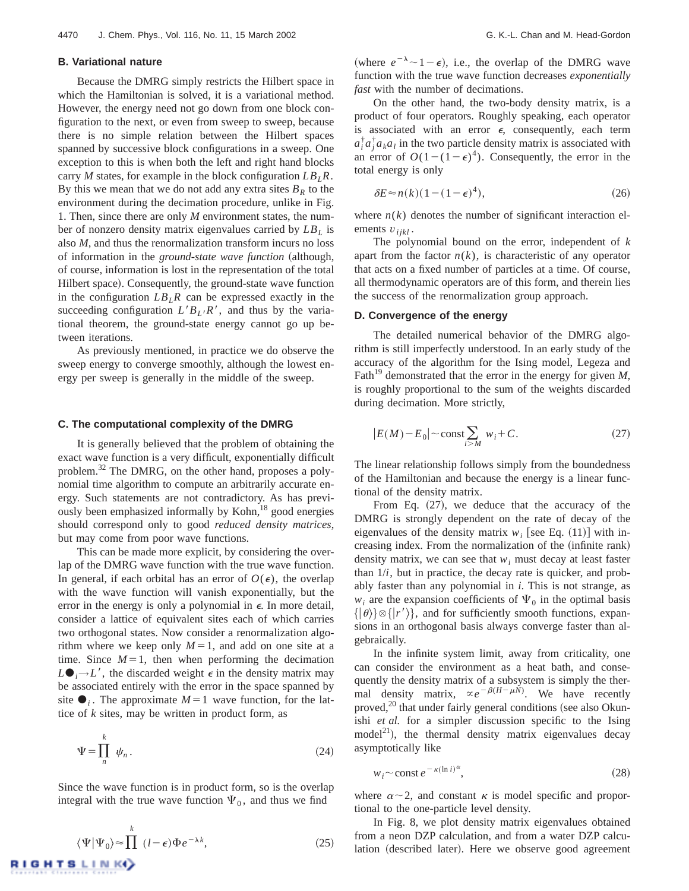# **B. Variational nature**

Because the DMRG simply restricts the Hilbert space in which the Hamiltonian is solved, it is a variational method. However, the energy need not go down from one block configuration to the next, or even from sweep to sweep, because there is no simple relation between the Hilbert spaces spanned by successive block configurations in a sweep. One exception to this is when both the left and right hand blocks carry *M* states, for example in the block configuration  $LB_LR$ . By this we mean that we do not add any extra sites  $B_R$  to the environment during the decimation procedure, unlike in Fig. 1. Then, since there are only *M* environment states, the number of nonzero density matrix eigenvalues carried by  $LB<sub>L</sub>$  is also *M*, and thus the renormalization transform incurs no loss of information in the *ground-state wave function* (although, of course, information is lost in the representation of the total Hilbert space). Consequently, the ground-state wave function in the configuration  $LB$ <sub>L</sub>R can be expressed exactly in the succeeding configuration  $L'B_L/R'$ , and thus by the variational theorem, the ground-state energy cannot go up between iterations.

As previously mentioned, in practice we do observe the sweep energy to converge smoothly, although the lowest energy per sweep is generally in the middle of the sweep.

#### **C. The computational complexity of the DMRG**

It is generally believed that the problem of obtaining the exact wave function is a very difficult, exponentially difficult problem.<sup>32</sup> The DMRG, on the other hand, proposes a polynomial time algorithm to compute an arbitrarily accurate energy. Such statements are not contradictory. As has previously been emphasized informally by Kohn,<sup>18</sup> good energies should correspond only to good *reduced density matrices*, but may come from poor wave functions.

This can be made more explicit, by considering the overlap of the DMRG wave function with the true wave function. In general, if each orbital has an error of  $O(\epsilon)$ , the overlap with the wave function will vanish exponentially, but the error in the energy is only a polynomial in  $\epsilon$ . In more detail, consider a lattice of equivalent sites each of which carries two orthogonal states. Now consider a renormalization algorithm where we keep only  $M=1$ , and add on one site at a time. Since  $M=1$ , then when performing the decimation  $L\bullet_j \rightarrow L'$ , the discarded weight  $\epsilon$  in the density matrix may be associated entirely with the error in the space spanned by site  $\bullet_i$ . The approximate  $M=1$  wave function, for the lattice of *k* sites, may be written in product form, as

$$
\Psi = \prod_{n=1}^{k} \psi_n \,. \tag{24}
$$

Since the wave function is in product form, so is the overlap integral with the true wave function  $\Psi_0$ , and thus we find

$$
\langle \Psi | \Psi_0 \rangle \approx \prod^k (l - \epsilon) \Phi e^{-\lambda k}, \tag{25}
$$

(where  $e^{-\lambda} \sim 1 - \epsilon$ ), i.e., the overlap of the DMRG wave function with the true wave function decreases *exponentially fast* with the number of decimations.

On the other hand, the two-body density matrix, is a product of four operators. Roughly speaking, each operator is associated with an error  $\epsilon$ , consequently, each term  $a_i^{\dagger} a_j^{\dagger} a_k a_l$  in the two particle density matrix is associated with an error of  $O(1-(1-\epsilon)^4)$ . Consequently, the error in the total energy is only

$$
\delta E \approx n(k)(1 - (1 - \epsilon)^4),\tag{26}
$$

where  $n(k)$  denotes the number of significant interaction elements  $v_{ijkl}$ .

The polynomial bound on the error, independent of *k* apart from the factor  $n(k)$ , is characteristic of any operator that acts on a fixed number of particles at a time. Of course, all thermodynamic operators are of this form, and therein lies the success of the renormalization group approach.

# **D. Convergence of the energy**

The detailed numerical behavior of the DMRG algorithm is still imperfectly understood. In an early study of the accuracy of the algorithm for the Ising model, Legeza and Fath<sup>19</sup> demonstrated that the error in the energy for given  $M$ , is roughly proportional to the sum of the weights discarded during decimation. More strictly,

$$
|E(M) - E_0| \sim \text{const} \sum_{i > M} w_i + C. \tag{27}
$$

The linear relationship follows simply from the boundedness of the Hamiltonian and because the energy is a linear functional of the density matrix.

From Eq.  $(27)$ , we deduce that the accuracy of the DMRG is strongly dependent on the rate of decay of the eigenvalues of the density matrix  $w_i$  [see Eq. (11)] with increasing index. From the normalization of the (infinite rank) density matrix, we can see that  $w_i$  must decay at least faster than  $1/i$ , but in practice, the decay rate is quicker, and probably faster than any polynomial in *i*. This is not strange, as  $w_i$  are the expansion coefficients of  $\Psi_0$  in the optimal basis  $\{|\theta\rangle\}\otimes\{|r'\rangle\}$ , and for sufficiently smooth functions, expansions in an orthogonal basis always converge faster than algebraically.

In the infinite system limit, away from criticality, one can consider the environment as a heat bath, and consequently the density matrix of a subsystem is simply the thermal density matrix,  $\propto e^{-\beta(H-\mu N)}$ . We have recently proved, $^{20}$  that under fairly general conditions (see also Okunishi *et al.* for a simpler discussion specific to the Ising  $model<sup>21</sup>$ , the thermal density matrix eigenvalues decay asymptotically like

$$
w_i \sim \text{const } e^{-\kappa (\ln i)^{\alpha}},\tag{28}
$$

where  $\alpha \sim 2$ , and constant  $\kappa$  is model specific and proportional to the one-particle level density.

In Fig. 8, we plot density matrix eigenvalues obtained from a neon DZP calculation, and from a water DZP calculation (described later). Here we observe good agreement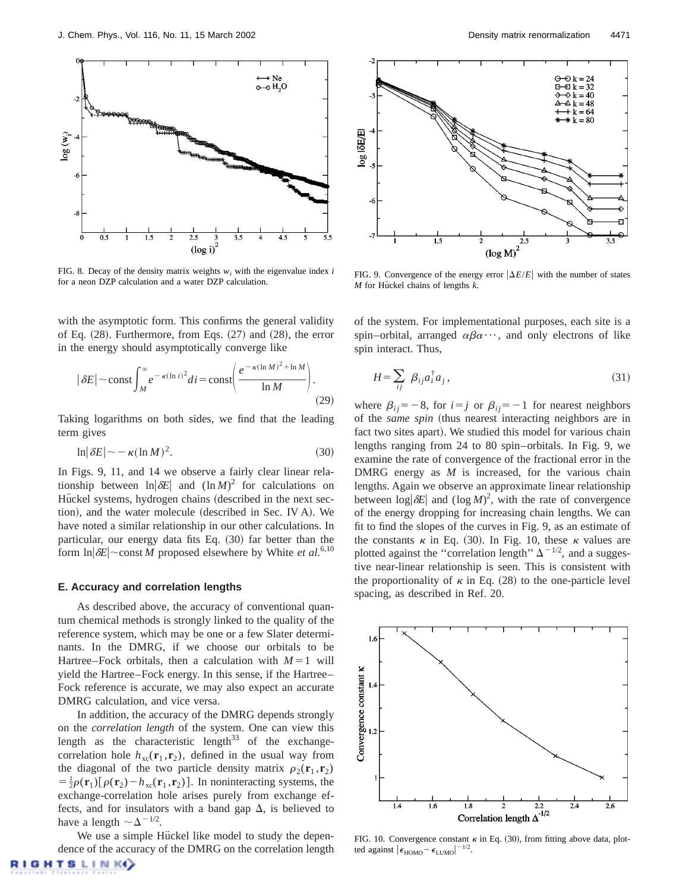

FIG. 8. Decay of the density matrix weights  $w_i$  with the eigenvalue index *i* for a neon DZP calculation and a water DZP calculation.

with the asymptotic form. This confirms the general validity of Eq.  $(28)$ . Furthermore, from Eqs.  $(27)$  and  $(28)$ , the error in the energy should asymptotically converge like

$$
|\delta E| \sim \text{const} \int_M^{\infty} e^{-\kappa (\ln i)^2} di = \text{const} \left( \frac{e^{-\kappa (\ln M)^2 + \ln M}}{\ln M} \right). \tag{29}
$$

Taking logarithms on both sides, we find that the leading term gives

$$
\ln|\delta E| \sim -\kappa (\ln M)^2. \tag{30}
$$

In Figs. 9, 11, and 14 we observe a fairly clear linear relationship between  $\ln |\delta E|$  and  $(\ln M)^2$  for calculations on Hückel systems, hydrogen chains (described in the next section), and the water molecule (described in Sec. IV A). We have noted a similar relationship in our other calculations. In particular, our energy data fits Eq. (30) far better than the form  $\ln |\delta E|$  const *M* proposed elsewhere by White *et al.*<sup>6,10</sup>

## **E. Accuracy and correlation lengths**

As described above, the accuracy of conventional quantum chemical methods is strongly linked to the quality of the reference system, which may be one or a few Slater determinants. In the DMRG, if we choose our orbitals to be Hartree–Fock orbitals, then a calculation with  $M=1$  will yield the Hartree–Fock energy. In this sense, if the Hartree– Fock reference is accurate, we may also expect an accurate DMRG calculation, and vice versa.

In addition, the accuracy of the DMRG depends strongly on the *correlation length* of the system. One can view this length as the characteristic length<sup>33</sup> of the exchangecorrelation hole  $h_{\text{xc}}(\mathbf{r}_1, \mathbf{r}_2)$ , defined in the usual way from the diagonal of the two particle density matrix  $\rho_2(\mathbf{r}_1, \mathbf{r}_2)$  $= \frac{1}{2}\rho(\mathbf{r}_1)[\rho(\mathbf{r}_2) - h_{\text{xc}}(\mathbf{r}_1, \mathbf{r}_2)].$  In noninteracting systems, the exchange-correlation hole arises purely from exchange effects, and for insulators with a band gap  $\Delta$ , is believed to have a length  $\sim \Delta^{-1/2}$ .

We use a simple Hückel like model to study the dependence of the accuracy of the DMRG on the correlation length



FIG. 9. Convergence of the energy error  $|\Delta E/E|$  with the number of states *M* for Hückel chains of lengths *k*.

of the system. For implementational purposes, each site is a spin–orbital, arranged  $\alpha\beta\alpha\cdots$ , and only electrons of like spin interact. Thus,

$$
H = \sum_{ij} \beta_{ij} a_i^{\dagger} a_j, \qquad (31)
$$

where  $\beta_{ij}$ = -8, for *i* = *j* or  $\beta_{ij}$ = -1 for nearest neighbors of the *same spin* (thus nearest interacting neighbors are in fact two sites apart). We studied this model for various chain lengths ranging from 24 to 80 spin–orbitals. In Fig. 9, we examine the rate of convergence of the fractional error in the DMRG energy as *M* is increased, for the various chain lengths. Again we observe an approximate linear relationship between  $\log|\delta E|$  and  $(\log M)^2$ , with the rate of convergence of the energy dropping for increasing chain lengths. We can fit to find the slopes of the curves in Fig. 9, as an estimate of the constants  $\kappa$  in Eq. (30). In Fig. 10, these  $\kappa$  values are plotted against the "correlation length"  $\Delta^{-1/2}$ , and a suggestive near-linear relationship is seen. This is consistent with the proportionality of  $\kappa$  in Eq. (28) to the one-particle level spacing, as described in Ref. 20.



FIG. 10. Convergence constant  $\kappa$  in Eq. (30), from fitting above data, plotted against  $|\epsilon_{\text{HOMO}} - \epsilon_{\text{LUMO}}|^{-1/2}$ .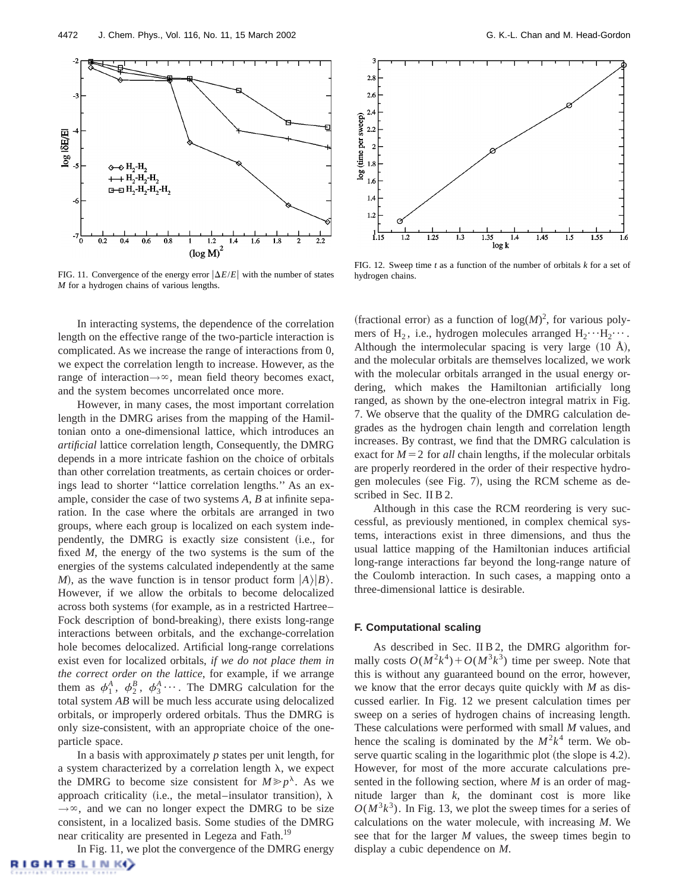

FIG. 11. Convergence of the energy error  $|\Delta E/E|$  with the number of states *M* for a hydrogen chains of various lengths.

In interacting systems, the dependence of the correlation length on the effective range of the two-particle interaction is complicated. As we increase the range of interactions from 0, we expect the correlation length to increase. However, as the range of interaction $\rightarrow \infty$ , mean field theory becomes exact, and the system becomes uncorrelated once more.

However, in many cases, the most important correlation length in the DMRG arises from the mapping of the Hamiltonian onto a one-dimensional lattice, which introduces an *artificial* lattice correlation length, Consequently, the DMRG depends in a more intricate fashion on the choice of orbitals than other correlation treatments, as certain choices or orderings lead to shorter ''lattice correlation lengths.'' As an example, consider the case of two systems *A, B* at infinite separation. In the case where the orbitals are arranged in two groups, where each group is localized on each system independently, the DMRG is exactly size consistent (i.e., for fixed *M*, the energy of the two systems is the sum of the energies of the systems calculated independently at the same *M*), as the wave function is in tensor product form  $|A\rangle|B\rangle$ . However, if we allow the orbitals to become delocalized across both systems (for example, as in a restricted Hartree– Fock description of bond-breaking), there exists long-range interactions between orbitals, and the exchange-correlation hole becomes delocalized. Artificial long-range correlations exist even for localized orbitals, *if we do not place them in the correct order on the lattice*, for example, if we arrange them as  $\phi_1^A$ ,  $\phi_2^B$ ,  $\phi_3^A$ .... The DMRG calculation for the total system *AB* will be much less accurate using delocalized orbitals, or improperly ordered orbitals. Thus the DMRG is only size-consistent, with an appropriate choice of the oneparticle space.

In a basis with approximately *p* states per unit length, for a system characterized by a correlation length  $\lambda$ , we expect the DMRG to become size consistent for  $M \geq p^{\lambda}$ . As we approach criticality (i.e., the metal–insulator transition),  $\lambda$  $\rightarrow \infty$ , and we can no longer expect the DMRG to be size consistent, in a localized basis. Some studies of the DMRG near criticality are presented in Legeza and Fath.<sup>19</sup>

In Fig. 11, we plot the convergence of the DMRG energy **GHTSLINK** 



FIG. 12. Sweep time *t* as a function of the number of orbitals *k* for a set of hydrogen chains.

(fractional error) as a function of  $log(M)^2$ , for various polymers of H<sub>2</sub>, i.e., hydrogen molecules arranged  $H_2 \cdot \cdot \cdot H_2 \cdot \cdot \cdot$ . Although the intermolecular spacing is very large  $(10 \text{ Å})$ , and the molecular orbitals are themselves localized, we work with the molecular orbitals arranged in the usual energy ordering, which makes the Hamiltonian artificially long ranged, as shown by the one-electron integral matrix in Fig. 7. We observe that the quality of the DMRG calculation degrades as the hydrogen chain length and correlation length increases. By contrast, we find that the DMRG calculation is exact for  $M=2$  for *all* chain lengths, if the molecular orbitals are properly reordered in the order of their respective hydrogen molecules (see Fig. 7), using the RCM scheme as described in Sec. II B 2.

Although in this case the RCM reordering is very successful, as previously mentioned, in complex chemical systems, interactions exist in three dimensions, and thus the usual lattice mapping of the Hamiltonian induces artificial long-range interactions far beyond the long-range nature of the Coulomb interaction. In such cases, a mapping onto a three-dimensional lattice is desirable.

# **F. Computational scaling**

As described in Sec. II B 2, the DMRG algorithm formally costs  $O(M^2k^4) + O(M^3k^3)$  time per sweep. Note that this is without any guaranteed bound on the error, however, we know that the error decays quite quickly with *M* as discussed earlier. In Fig. 12 we present calculation times per sweep on a series of hydrogen chains of increasing length. These calculations were performed with small *M* values, and hence the scaling is dominated by the  $M^2k^4$  term. We observe quartic scaling in the logarithmic plot (the slope is  $4.2$ ). However, for most of the more accurate calculations presented in the following section, where *M* is an order of magnitude larger than *k*, the dominant cost is more like  $O(M^3k^3)$ . In Fig. 13, we plot the sweep times for a series of calculations on the water molecule, with increasing *M*. We see that for the larger *M* values, the sweep times begin to display a cubic dependence on *M*.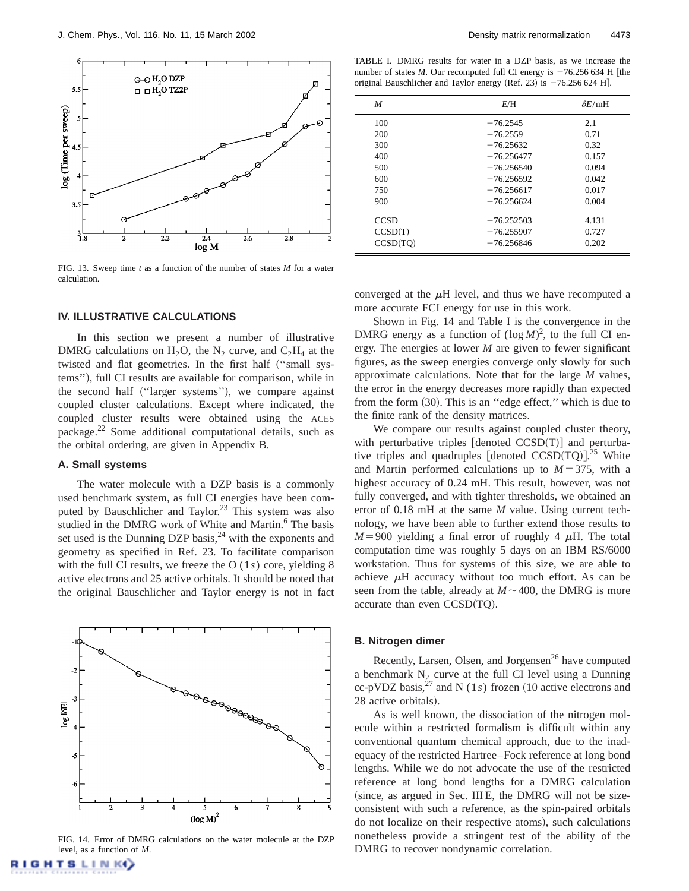

FIG. 13. Sweep time *t* as a function of the number of states *M* for a water calculation.

#### **IV. ILLUSTRATIVE CALCULATIONS**

In this section we present a number of illustrative DMRG calculations on  $H_2O$ , the N<sub>2</sub> curve, and  $C_2H_4$  at the twisted and flat geometries. In the first half ("small systems"), full CI results are available for comparison, while in the second half ("larger systems"), we compare against coupled cluster calculations. Except where indicated, the coupled cluster results were obtained using the ACES package.22 Some additional computational details, such as the orbital ordering, are given in Appendix B.

## **A. Small systems**

**GHTSLINK** 

The water molecule with a DZP basis is a commonly used benchmark system, as full CI energies have been computed by Bauschlicher and Taylor.<sup>23</sup> This system was also studied in the DMRG work of White and Martin.<sup>6</sup> The basis set used is the Dunning DZP basis, $24$  with the exponents and geometry as specified in Ref. 23. To facilitate comparison with the full CI results, we freeze the O (1*s*) core, yielding 8 active electrons and 25 active orbitals. It should be noted that the original Bauschlicher and Taylor energy is not in fact



FIG. 14. Error of DMRG calculations on the water molecule at the DZP level, as a function of *M*.

TABLE I. DMRG results for water in a DZP basis, as we increase the number of states *M*. Our recomputed full CI energy is  $-76.256\,634$  H [the original Bauschlicher and Taylor energy (Ref. 23) is  $-76.256 624$  H.

| M           | E/H          | $\delta E$ /mH |
|-------------|--------------|----------------|
| 100         | $-76.2545$   | 2.1            |
| 200         | $-76.2559$   | 0.71           |
| 300         | $-76.25632$  | 0.32           |
| 400         | $-76.256477$ | 0.157          |
| 500         | $-76.256540$ | 0.094          |
| 600         | $-76.256592$ | 0.042          |
| 750         | $-76.256617$ | 0.017          |
| 900         | $-76.256624$ | 0.004          |
| <b>CCSD</b> | $-76.252503$ | 4.131          |
| CCSD(T)     | $-76.255907$ | 0.727          |
| CCSD(TO)    | $-76.256846$ | 0.202          |

converged at the  $\mu$ H level, and thus we have recomputed a more accurate FCI energy for use in this work.

Shown in Fig. 14 and Table I is the convergence in the DMRG energy as a function of  $(\log M)^2$ , to the full CI energy. The energies at lower *M* are given to fewer significant figures, as the sweep energies converge only slowly for such approximate calculations. Note that for the large *M* values, the error in the energy decreases more rapidly than expected from the form (30). This is an "edge effect," which is due to the finite rank of the density matrices.

We compare our results against coupled cluster theory, with perturbative triples  $[denoted CCSD(T)]$  and perturbative triples and quadruples [denoted CCSD(TQ)]. $^{25}$  White and Martin performed calculations up to  $M=375$ , with a highest accuracy of 0.24 mH. This result, however, was not fully converged, and with tighter thresholds, we obtained an error of 0.18 mH at the same *M* value. Using current technology, we have been able to further extend those results to  $M=900$  yielding a final error of roughly 4  $\mu$ H. The total computation time was roughly 5 days on an IBM RS/6000 workstation. Thus for systems of this size, we are able to achieve  $\mu$ H accuracy without too much effort. As can be seen from the table, already at  $M \sim 400$ , the DMRG is more accurate than even  $CCSD(TQ)$ .

#### **B. Nitrogen dimer**

Recently, Larsen, Olsen, and Jorgensen<sup>26</sup> have computed a benchmark  $N_2$  curve at the full CI level using a Dunning cc-pVDZ basis,<sup>27</sup> and N (1s) frozen (10 active electrons and 28 active orbitals).

As is well known, the dissociation of the nitrogen molecule within a restricted formalism is difficult within any conventional quantum chemical approach, due to the inadequacy of the restricted Hartree–Fock reference at long bond lengths. While we do not advocate the use of the restricted reference at long bond lengths for a DMRG calculation  $(since, as argued in Sec. III E, the DMRG will not be size$ consistent with such a reference, as the spin-paired orbitals do not localize on their respective atoms), such calculations nonetheless provide a stringent test of the ability of the DMRG to recover nondynamic correlation.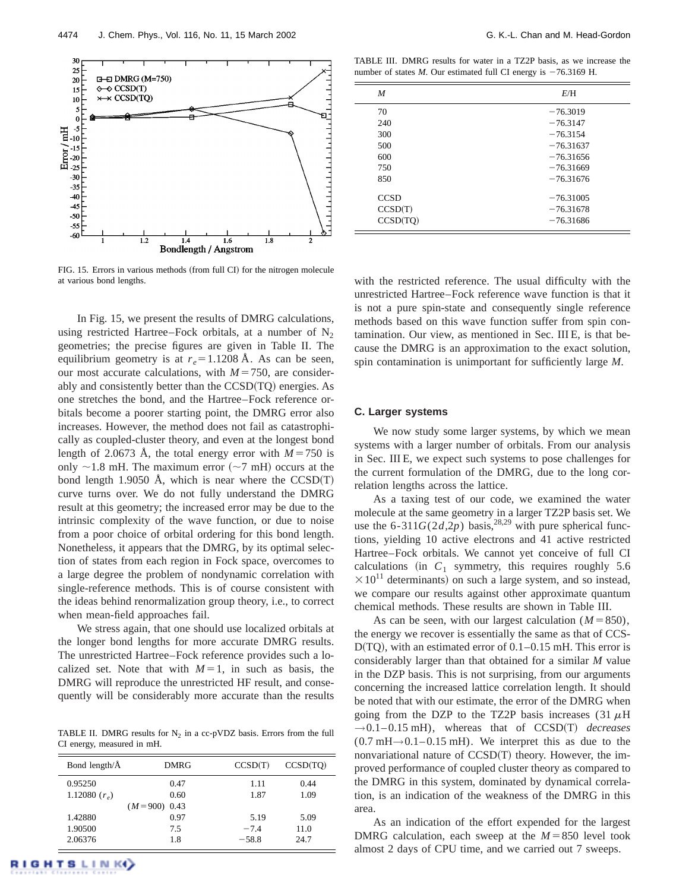

FIG. 15. Errors in various methods (from full CI) for the nitrogen molecule at various bond lengths.

In Fig. 15, we present the results of DMRG calculations, using restricted Hartree–Fock orbitals, at a number of  $N_2$ geometries; the precise figures are given in Table II. The equilibrium geometry is at  $r_e = 1.1208$  Å. As can be seen, our most accurate calculations, with  $M=750$ , are considerably and consistently better than the  $CCSD(TQ)$  energies. As one stretches the bond, and the Hartree–Fock reference orbitals become a poorer starting point, the DMRG error also increases. However, the method does not fail as catastrophically as coupled-cluster theory, and even at the longest bond length of 2.0673 A, the total energy error with  $M=750$  is only  $\sim$ 1.8 mH. The maximum error ( $\sim$ 7 mH) occurs at the bond length 1.9050 Å, which is near where the  $CCSD(T)$ curve turns over. We do not fully understand the DMRG result at this geometry; the increased error may be due to the intrinsic complexity of the wave function, or due to noise from a poor choice of orbital ordering for this bond length. Nonetheless, it appears that the DMRG, by its optimal selection of states from each region in Fock space, overcomes to a large degree the problem of nondynamic correlation with single-reference methods. This is of course consistent with the ideas behind renormalization group theory, i.e., to correct when mean-field approaches fail.

We stress again, that one should use localized orbitals at the longer bond lengths for more accurate DMRG results. The unrestricted Hartree–Fock reference provides such a localized set. Note that with  $M=1$ , in such as basis, the DMRG will reproduce the unrestricted HF result, and consequently will be considerably more accurate than the results

TABLE II. DMRG results for  $N_2$  in a cc-pVDZ basis. Errors from the full CI energy, measured in mH.

| Bond length/ $\AA$ | <b>DMRG</b>    | CCSD(T) | CCSD(TO) |
|--------------------|----------------|---------|----------|
| 0.95250            | 0.47           | 1.11    | 0.44     |
| 1.12080 $(r_a)$    | 0.60           | 1.87    | 1.09     |
|                    | $(M=900)$ 0.43 |         |          |
| 1.42880            | 0.97           | 5.19    | 5.09     |
| 1.90500            | 7.5            | $-7.4$  | 11.0     |
| 2.06376            | 1.8            | $-58.8$ | 24.7     |

TABLE III. DMRG results for water in a TZ2P basis, as we increase the number of states  $M$ . Our estimated full CI energy is  $-76.3169$  H.

| M           | E/H         |
|-------------|-------------|
| 70          | $-76.3019$  |
| 240         | $-76.3147$  |
| 300         | $-76.3154$  |
| 500         | $-76.31637$ |
| 600         | $-76.31656$ |
| 750         | $-76.31669$ |
| 850         | $-76.31676$ |
| <b>CCSD</b> | $-76.31005$ |
| CCSD(T)     | $-76.31678$ |
| CCSD(TQ)    | $-76.31686$ |

with the restricted reference. The usual difficulty with the unrestricted Hartree–Fock reference wave function is that it is not a pure spin-state and consequently single reference methods based on this wave function suffer from spin contamination. Our view, as mentioned in Sec. III E, is that because the DMRG is an approximation to the exact solution, spin contamination is unimportant for sufficiently large *M*.

## **C. Larger systems**

We now study some larger systems, by which we mean systems with a larger number of orbitals. From our analysis in Sec. III E, we expect such systems to pose challenges for the current formulation of the DMRG, due to the long correlation lengths across the lattice.

As a taxing test of our code, we examined the water molecule at the same geometry in a larger TZ2P basis set. We use the 6-311*G*(2*d*,2*p*) basis,<sup>28,29</sup> with pure spherical functions, yielding 10 active electrons and 41 active restricted Hartree–Fock orbitals. We cannot yet conceive of full CI calculations (in  $C_1$  symmetry, this requires roughly 5.6  $\times 10^{11}$  determinants) on such a large system, and so instead, we compare our results against other approximate quantum chemical methods. These results are shown in Table III.

As can be seen, with our largest calculation  $(M=850)$ , the energy we recover is essentially the same as that of CCS- $D(TQ)$ , with an estimated error of  $0.1-0.15$  mH. This error is considerably larger than that obtained for a similar *M* value in the DZP basis. This is not surprising, from our arguments concerning the increased lattice correlation length. It should be noted that with our estimate, the error of the DMRG when going from the DZP to the TZ2P basis increases (31  $\mu$ H  $\rightarrow$  0.1–0.15 mH), whereas that of CCSD(T) *decreases*  $(0.7 \text{ mH} \rightarrow 0.1 - 0.15 \text{ mH})$ . We interpret this as due to the nonvariational nature of  $CCSD(T)$  theory. However, the improved performance of coupled cluster theory as compared to the DMRG in this system, dominated by dynamical correlation, is an indication of the weakness of the DMRG in this area.

As an indication of the effort expended for the largest DMRG calculation, each sweep at the  $M = 850$  level took almost 2 days of CPU time, and we carried out 7 sweeps.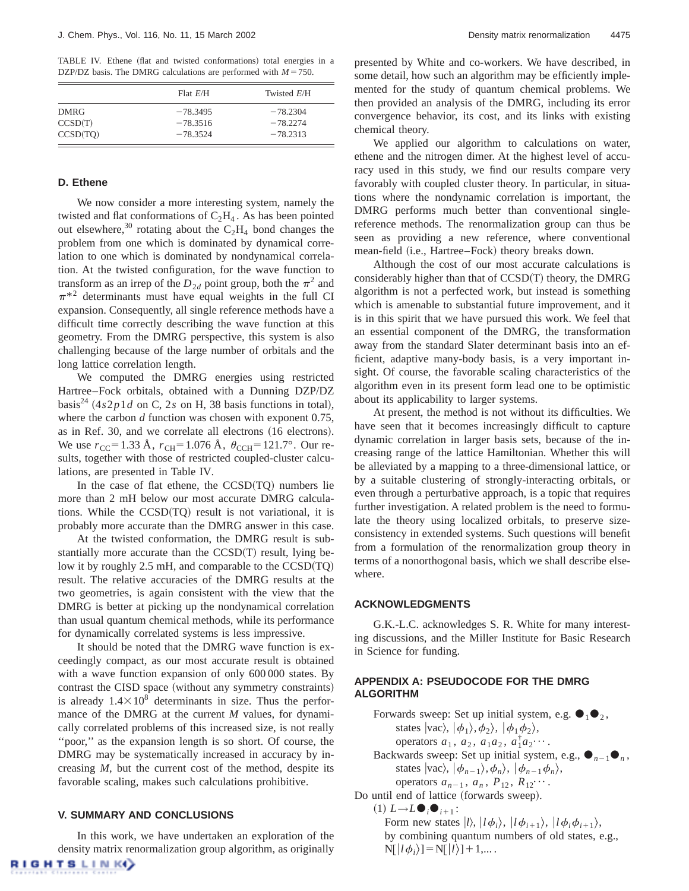TABLE IV. Ethene (flat and twisted conformations) total energies in a DZP/DZ basis. The DMRG calculations are performed with  $M = 750$ .

|             | Flat E/H   | Twisted E/H |
|-------------|------------|-------------|
| <b>DMRG</b> | $-78.3495$ | $-78.2304$  |
| CCSD(T)     | $-78.3516$ | $-78.2274$  |
| CCSD(TO)    | $-78.3524$ | $-78.2313$  |

#### **D. Ethene**

We now consider a more interesting system, namely the twisted and flat conformations of  $C_2H_4$ . As has been pointed out elsewhere,<sup>30</sup> rotating about the  $C_2H_4$  bond changes the problem from one which is dominated by dynamical correlation to one which is dominated by nondynamical correlation. At the twisted configuration, for the wave function to transform as an irrep of the  $D_{2d}$  point group, both the  $\pi^2$  and  $\pi^{*2}$  determinants must have equal weights in the full CI expansion. Consequently, all single reference methods have a difficult time correctly describing the wave function at this geometry. From the DMRG perspective, this system is also challenging because of the large number of orbitals and the long lattice correlation length.

We computed the DMRG energies using restricted Hartree–Fock orbitals, obtained with a Dunning DZP/DZ basis<sup>24</sup>  $(4s2p1d$  on C, 2*s* on H, 38 basis functions in total), where the carbon *d* function was chosen with exponent 0.75, as in Ref. 30, and we correlate all electrons (16 electrons). We use  $r_{\text{CC}}$ =1.33 Å,  $r_{\text{CH}}$ =1.076 Å,  $\theta_{\text{CCH}}$ =121.7°. Our results, together with those of restricted coupled-cluster calculations, are presented in Table IV.

In the case of flat ethene, the  $CCSD(TQ)$  numbers lie more than 2 mH below our most accurate DMRG calculations. While the  $CCSD(TQ)$  result is not variational, it is probably more accurate than the DMRG answer in this case.

At the twisted conformation, the DMRG result is substantially more accurate than the  $CCSD(T)$  result, lying below it by roughly 2.5 mH, and comparable to the  $CCSD(TQ)$ result. The relative accuracies of the DMRG results at the two geometries, is again consistent with the view that the DMRG is better at picking up the nondynamical correlation than usual quantum chemical methods, while its performance for dynamically correlated systems is less impressive.

It should be noted that the DMRG wave function is exceedingly compact, as our most accurate result is obtained with a wave function expansion of only 600 000 states. By contrast the CISD space (without any symmetry constraints) is already  $1.4\times10^8$  determinants in size. Thus the performance of the DMRG at the current *M* values, for dynamically correlated problems of this increased size, is not really ''poor,'' as the expansion length is so short. Of course, the DMRG may be systematically increased in accuracy by increasing *M*, but the current cost of the method, despite its favorable scaling, makes such calculations prohibitive.

## **V. SUMMARY AND CONCLUSIONS**

In this work, we have undertaken an exploration of the density matrix renormalization group algorithm, as originally RIGHTS LINK()

presented by White and co-workers. We have described, in some detail, how such an algorithm may be efficiently implemented for the study of quantum chemical problems. We then provided an analysis of the DMRG, including its error convergence behavior, its cost, and its links with existing chemical theory.

We applied our algorithm to calculations on water, ethene and the nitrogen dimer. At the highest level of accuracy used in this study, we find our results compare very favorably with coupled cluster theory. In particular, in situations where the nondynamic correlation is important, the DMRG performs much better than conventional singlereference methods. The renormalization group can thus be seen as providing a new reference, where conventional mean-field (i.e., Hartree–Fock) theory breaks down.

Although the cost of our most accurate calculations is considerably higher than that of  $CCSD(T)$  theory, the DMRG algorithm is not a perfected work, but instead is something which is amenable to substantial future improvement, and it is in this spirit that we have pursued this work. We feel that an essential component of the DMRG, the transformation away from the standard Slater determinant basis into an efficient, adaptive many-body basis, is a very important insight. Of course, the favorable scaling characteristics of the algorithm even in its present form lead one to be optimistic about its applicability to larger systems.

At present, the method is not without its difficulties. We have seen that it becomes increasingly difficult to capture dynamic correlation in larger basis sets, because of the increasing range of the lattice Hamiltonian. Whether this will be alleviated by a mapping to a three-dimensional lattice, or by a suitable clustering of strongly-interacting orbitals, or even through a perturbative approach, is a topic that requires further investigation. A related problem is the need to formulate the theory using localized orbitals, to preserve sizeconsistency in extended systems. Such questions will benefit from a formulation of the renormalization group theory in terms of a nonorthogonal basis, which we shall describe elsewhere.

## **ACKNOWLEDGMENTS**

G.K.-L.C. acknowledges S. R. White for many interesting discussions, and the Miller Institute for Basic Research in Science for funding.

# **APPENDIX A: PSEUDOCODE FOR THE DMRG ALGORITHM**

Forwards sweep: Set up initial system, e.g.  $\bullet_1 \bullet_2$ , states  $|{\rm vac}\rangle, |\phi_1\rangle, \phi_2\rangle, |\phi_1\phi_2\rangle,$ operators  $a_1, a_2, a_1 a_2, a_1^{\dagger} a_2^{\dagger} \cdots$ . Backwards sweep: Set up initial system, e.g.,  $\bullet_{n-1}\bullet_n$ , states  $|{\rm vac}\rangle, |\phi_{n-1}\rangle, \phi_n\rangle, |\phi_{n-1}\phi_n\rangle,$ operators  $a_{n-1}$ ,  $a_n$ ,  $P_{12}$ ,  $R_{12}$ <sup>...</sup> Do until end of lattice (forwards sweep).  $(1) L \rightarrow L \bullet_i \bullet_{i+1}$ : Form new states  $|l\rangle$ ,  $|l\phi_i\rangle$ ,  $|l\phi_{i+1}\rangle$ ,  $|l\phi_i\phi_{i+1}\rangle$ , by combining quantum numbers of old states, e.g.,  $N[\ket{l\phi_i}]=N[\ket{l}]+1,...$ .